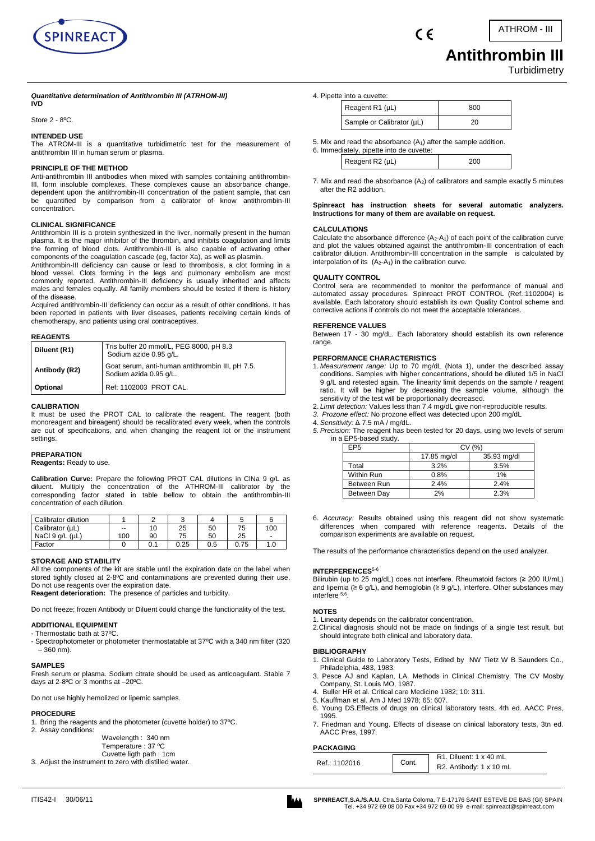

# **Antithrombin III**

**Turbidimetry** 

#### *Quantitative determination of Antithrombin III (ATRHOM-III)* **IVD**

Store 2 - 8ºC.

**INTENDED USE**

The ATROM-III is a quantitative turbidimetric test for the measurement of antithrombin III in human serum or plasma.

# **PRINCIPLE OF THE METHOD**

Anti-antithrombin III antibodies when mixed with samples containing antithrombin-III, form insoluble complexes. These complexes cause an absorbance change, dependent upon the antithrombin-III concentration of the patient sample, that can be quantified by comparison from a calibrator of know antithrombin-III concentration.

# **CLINICAL SIGNIFICANCE**

Antithrombin III is a protein synthesized in the liver, normally present in the human plasma. It is the major inhibitor of the thrombin, and inhibits coagulation and limits the forming of blood clots. Antithrombin-III is also capable of activating other components of the coagulation cascade (eg, factor Xa), as well as plasmin.

Antithrombin-III deficiency can cause or lead to thrombosis, a clot forming in a blood vessel. Clots forming in the legs and pulmonary embolism are most commonly reported. Antithrombin-III deficiency is usually inherited and affects males and females equally. All family members should be tested if there is history of the disease.

Acquired antithrombin-III deficiency can occur as a result of other conditions. It has been reported in patients with liver diseases, patients receiving certain kinds of chemotherapy, and patients using oral contraceptives.

#### **REAGENTS**

| Diluent (R1)  | Tris buffer 20 mmol/L, PEG 8000, pH 8.3<br>Sodium azide 0.95 g/L.          |
|---------------|----------------------------------------------------------------------------|
| Antibody (R2) | Goat serum, anti-human antithrombin III, pH 7.5.<br>Sodium azida 0.95 g/L. |
| Optional      | Ref: 1102003 PROT CAL.                                                     |

#### **CALIBRATION**

It must be used the PROT CAL to calibrate the reagent. The reagent (both monoreagent and bireagent) should be recalibrated every week, when the controls are out of specifications, and when changing the reagent lot or the instrument settings.

# **PREPARATION**

**Reagents:** Ready to use.

**Calibration Curve:** Prepare the following PROT CAL dilutions in ClNa 9 g/L as diluent. Multiply the concentration of the ATHROM-III calibrator by the corresponding factor stated in table bellow to obtain the antithrombin-III concentration of each dilution.

| Calibrator dilution     |     |    |      |     |      |                          |
|-------------------------|-----|----|------|-----|------|--------------------------|
| Calibrator (µL)         | $-$ | 10 | 25   | 50  | 75   | 100                      |
| NaCl $9$ q/L ( $\mu$ L) | 100 | 90 | 75   | 50  | 25   | $\overline{\phantom{0}}$ |
| Factor                  |     |    | 0.25 | 0.5 | 0.75 | 1.0                      |

#### **STORAGE AND STABILITY**

All the components of the kit are stable until the expiration date on the label when stored tightly closed at 2-8ºC and contaminations are prevented during their use. Do not use reagents over the expiration date. **Reagent deterioration:** The presence of particles and turbidity.

Do not freeze; frozen Antibody or Diluent could change the functionality of the test.

#### **ADDITIONAL EQUIPMENT**

- Thermostatic bath at 37ºC.

- Spectrophotometer or photometer thermostatable at 37ºC with a 340 nm filter (320 – 360 nm).

#### **SAMPLES**

Fresh serum or plasma. Sodium citrate should be used as anticoagulant. Stable 7 days at 2-8ºC or 3 months at –20ºC.

Do not use highly hemolized or lipemic samples.

#### **PROCEDURE**

1. Bring the reagents and the photometer (cuvette holder) to 37ºC.

2. Assay conditions:

Wavelength : 340 nm Temperature : 37 ºC Cuvette ligth path : 1cm

3. Adjust the instrument to zero with distilled water.

4. Pipette into a cuvette:

| Reagent R1 (µL)           | 800 |
|---------------------------|-----|
| Sample or Calibrator (µL) |     |

5. Mix and read the absorbance  $(A<sub>1</sub>)$  after the sample addition.

| nediately, pipette into de cuvette: |     |
|-------------------------------------|-----|
| Reagent $R2$ ( $\mu$ L)             | 200 |

7. Mix and read the absorbance  $(A_2)$  of calibrators and sample exactly 5 minutes after the R2 addition.

**Spinreact has instruction sheets for several automatic analyzers. Instructions for many of them are available on request.**

#### **CALCULATIONS**

6. Imr

Calculate the absorbance difference  $(A_2-A_1)$  of each point of the calibration curve and plot the values obtained against the antithrombin-III concentration of each calibrator dilution. Antithrombin-III concentration in the sample is calculated by interpolation of its  $(A<sub>2</sub>-A<sub>1</sub>)$  in the calibration curve.

# **QUALITY CONTROL**

Control sera are recommended to monitor the performance of manual and automated assay procedures. Spinreact PROT CONTROL (Ref.:1102004) is available. Each laboratory should establish its own Quality Control scheme and corrective actions if controls do not meet the acceptable tolerances.

#### **REFERENCE VALUES**

Between 17 - 30 mg/dL. Each laboratory should establish its own reference range.

#### **PERFORMANCE CHARACTERISTICS**

- 1. *Measurement range:* Up to 70 mg/dL (Nota 1), under the described assay conditions. Samples with higher concentrations, should be diluted 1/5 in NaCl 9 g/L and retested again. The linearity limit depends on the sample / reagent ratio. It will be higher by decreasing the sample volume, although the sensitivity of the test will be proportionally decreased.
- 2. *Limit detection:* Values less than 7.4 mg/dL give non-reproducible results.
- *3. Prozone effect:* No prozone effect was detected upon 200 mg/dL

4. *Sensitivity:* Δ 7.5 mA / mg/dL.

*5. Precision:* The reagent has been tested for 20 days, using two levels of serum in a EP5-based study.

| EP5         | CV(% )      |             |  |
|-------------|-------------|-------------|--|
|             | 17.85 mg/dl | 35.93 mg/dl |  |
| Total       | 3.2%        | 3.5%        |  |
| Within Run  | 0.8%        | 1%          |  |
| Between Run | 2.4%        | 2.4%        |  |
| Between Day | 2%          | 2.3%        |  |

6. *Accuracy:* Results obtained using this reagent did not show systematic differences when compared with reference reagents. Details of the comparison experiments are available on request.

The results of the performance characteristics depend on the used analyzer.

#### **INTERFERENCES**5-6

Bilirubin (up to 25 mg/dL) does not interfere. Rheumatoid factors (≥ 200 IU/mL) and lipemia ( $\geq 6$  g/L), and hemoglobin ( $\geq 9$  g/L), interfere. Other substances may interfere 5,6 .

# **NOTES**

1. Linearity depends on the calibrator concentration.

2.Clinical diagnosis should not be made on findings of a single test result, but should integrate both clinical and laboratory data.

#### **BIBLIOGRAPHY**

- 1. Clinical Guide to Laboratory Tests, Edited by NW Tietz W B Saunders Co., Philadelphia, 483, 1983.
- 3. Pesce AJ and Kaplan, LA. Methods in Clinical Chemistry. The CV Mosby Company, St. Louis MO, 1987.
- 4. Buller HR et al. Critical care Medicine 1982; 10: 311.
- 5. Kauffman et al. Am J Med 1978; 65: 607.
- 6. Young DS.Effects of drugs on clinical laboratory tests, 4th ed. AACC Pres, 1995.
- 7. Friedman and Young. Effects of disease on clinical laboratory tests, 3tn ed. AACC Pres, 1997.

# **PACKAGING**

| Ref.: 1102016 | Cont. | R <sub>1</sub> . Diluent: 1 x 40 mL<br>R2. Antibody: 1 x 10 mL |
|---------------|-------|----------------------------------------------------------------|
|               |       |                                                                |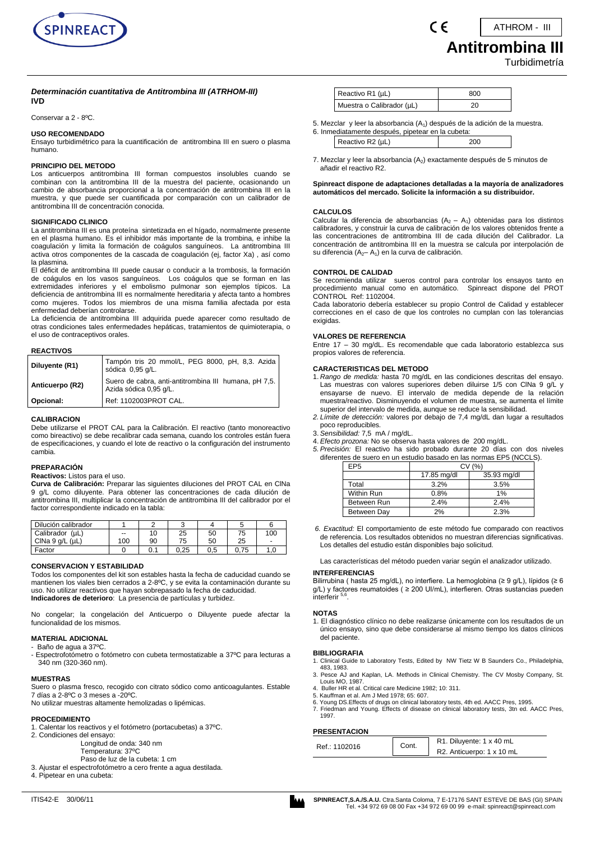

ATHROM - III

# **Antitrombina III**

Turbidimetría

#### *Determinación cuantitativa de Antitrombina III (ATRHOM-III)* **IVD**

Conservar a 2 - 8ºC.

# **USO RECOMENDADO**

Ensayo turbidimétrico para la cuantificación de antitrombina III en suero o plasma humano.

# **PRINCIPIO DEL METODO**

Los anticuerpos antitrombina III forman compuestos insolubles cuando se combinan con la antitrombina III de la muestra del paciente, ocasionando un cambio de absorbancia proporcional a la concentración de antitrombina III en la muestra, y que puede ser cuantificada por comparación con un calibrador de antitrombina III de concentración conocida.

# **SIGNIFICADO CLINICO**

La antitrombina III es una proteína sintetizada en el hígado, normalmente presente en el plasma humano. Es el inhibidor más importante de la trombina, e inhibe la coagulación y limita la formación de coágulos sanguíneos. La antitrombina III activa otros componentes de la cascada de coagulación (ej, factor Xa) , así como la plasmina.

El déficit de antitrombina III puede causar o conducir a la trombosis, la formación de coágulos en los vasos sanguíneos. Los coágulos que se forman en las extremidades inferiores y el embolismo pulmonar son ejemplos típicos. La deficiencia de antitrombina III es normalmente hereditaria y afecta tanto a hombres como mujeres. Todos los miembros de una misma familia afectada por esta enfermedad deberían controlarse.

La deficiencia de antitrombina III adquirida puede aparecer como resultado de otras condiciones tales enfermedades hepáticas, tratamientos de quimioterapia, o el uso de contraceptivos orales.

# **REACTIVOS**

| Diluyente (R1)  | Tampón tris 20 mmol/L, PEG 8000, pH, 8,3. Azida<br>sódica 0,95 g/L.             |
|-----------------|---------------------------------------------------------------------------------|
| Anticuerpo (R2) | Suero de cabra, anti-antitrombina III humana, pH 7,5.<br>Azida sódica 0,95 g/L. |
| Opcional:       | Ref: 1102003PROT CAL.                                                           |

# **CALIBRACION**

Debe utilizarse el PROT CAL para la Calibración. El reactivo (tanto monoreactivo como bireactivo) se debe recalibrar cada semana, cuando los controles están fuera de especificaciones, y cuando el lote de reactivo o la configuración del instrumento cambia.

#### **PREPARACIÓN**

**Reactivos:** Listos para el uso.

**Curva de Calibración:** Preparar las siguientes diluciones del PROT CAL en ClNa 9 g/L como diluyente. Para obtener las concentraciones de cada dilución de antitrombina III, multiplicar la concentración de antitrombina III del calibrador por el factor correspondiente indicado en la tabla:

| Dilución calibrador     |     |     | ົ    |     |      |                          |
|-------------------------|-----|-----|------|-----|------|--------------------------|
| Calibrador (µL)         | $-$ | 10  | 25   | 50  | 75   | 100                      |
| CINa $9$ $a/L$ ( $uL$ ) | 100 | 90  | 75   | 50  | 25   | $\overline{\phantom{0}}$ |
| Factor                  |     | 0.1 | 0.25 | 0.5 | 0.75 | 1.0                      |

# **CONSERVACION Y ESTABILIDAD**

Todos los componentes del kit son estables hasta la fecha de caducidad cuando se mantienen los viales bien cerrados a 2-8ºC, y se evita la contaminación durante su uso. No utilizar reactivos que hayan sobrepasado la fecha de caducidad. **Indicadores de deterioro**: La presencia de partículas y turbidez.

No congelar; la congelación del Anticuerpo o Diluyente puede afectar la funcionalidad de los mismos.

# **MATERIAL ADICIONAL**

- Baño de agua a 37ºC.

Espectrofotómetro o fotómetro con cubeta termostatizable a 37°C para lecturas a 340 nm (320-360 nm).

#### **MUESTRAS**

Suero o plasma fresco, recogido con citrato sódico como anticoagulantes. Estable 7 días a 2-8ºC o 3 meses a -20ºC.

No utilizar muestras altamente hemolizadas o lipémicas.

# **PROCEDIMIENTO**

1. Calentar los reactivos y el fotómetro (portacubetas) a 37ºC.

- 2. Condiciones del ensayo:
	- Longitud de onda: 340 nm
	- Temperatura: 37ºC
- Paso de luz de la cubeta: 1 cm 3. Ajustar el espectrofotómetro a cero frente a agua destilada.
- 4. Pipetear en una cubeta:
- 
- Reactivo R1  $(\mu L)$  800 Muestra o Calibrador  $(\mu L)$  20
- 5. Mezclar y leer la absorbancia (A<sub>1</sub>) después de la adición de la muestra.

| 6. Inmediatamente después, pipetear en la cubeta: |                  |     |  |
|---------------------------------------------------|------------------|-----|--|
|                                                   | Reactivo R2 (µL) | 200 |  |

7. Mezclar y leer la absorbancia  $(A_2)$  exactamente después de 5 minutos de añadir el reactivo R2.

**Spinreact dispone de adaptaciones detalladas a la mayoría de analizadores automáticos del mercado. Solicite la información a su distribuidor.**

# **CALCULOS**

Calcular la diferencia de absorbancias  $(A_2 - A_1)$  obtenidas para los distintos calibradores, y construir la curva de calibración de los valores obtenidos frente a las concentraciones de antitrombina III de cada dilución del Calibrador. La concentración de antitrombina III en la muestra se calcula por interpolación de su diferencia  $(A_2 - A_1)$  en la curva de calibración.

### **CONTROL DE CALIDAD**

Se recomienda utilizar sueros control para controlar los ensayos tanto en procedimiento manual como en automático. Spinreact dispone del PROT CONTROL Ref: 1102004.

Cada laboratorio debería establecer su propio Control de Calidad y establecer correcciones en el caso de que los controles no cumplan con las tolerancias exigidas

### **VALORES DE REFERENCIA**

Entre 17 – 30 mg/dL. Es recomendable que cada laboratorio establezca sus propios valores de referencia.

#### **CARACTERISTICAS DEL METODO**

- 1. *Rango de medida:* hasta 70 mg/dL en las condiciones descritas del ensayo. Las muestras con valores superiores deben diluirse 1/5 con ClNa 9 g/L y ensayarse de nuevo. El intervalo de medida depende de la relación muestra/reactivo. Disminuyendo el volumen de muestra, se aumenta el límite superior del intervalo de medida, aunque se reduce la sensibilidad.
- *2. Límite de detección:* valores por debajo de 7,4 mg/dL dan lugar a resultados poco reproducibles*.*
- 3. *Sensibilidad:* 7,5 mA / mg/dL.
- 4. *Efecto prozona:* No se observa hasta valores de 200 mg/dL.
- *5. Precisión:* El reactivo ha sido probado durante 20 días con dos niveles diferentes de suero en un estudio basado en las normas EP5 (NCCLS).

| EP5         | (% )        |             |  |
|-------------|-------------|-------------|--|
|             | 17.85 mg/dl | 35.93 mg/dl |  |
| Total       | 3.2%        | 3.5%        |  |
| Within Run  | 0.8%        | 1%          |  |
| Between Run | 2.4%        | 2.4%        |  |
| Between Day | 2%          | 2.3%        |  |

*6. Exactitud:* El comportamiento de este método fue comparado con reactivos de referencia. Los resultados obtenidos no muestran diferencias significativas. Los detalles del estudio están disponibles bajo solicitud.

Las características del método pueden variar según el analizador utilizado. **INTERFERENCIAS**

Bilirrubina ( hasta 25 mg/dL), no interfiere. La hemoglobina (≥ 9 g/L), lípidos (≥ 6 g/L) y factores reumatoides ( ≥ 200 UI/mL), interfieren. Otras sustancias pueden<br>interferir <sup>5,6</sup>.

#### **NOTAS**

1. El diagnóstico clínico no debe realizarse únicamente con los resultados de un único ensayo, sino que debe considerarse al mismo tiempo los datos clínicos del paciente.

#### **BIBLIOGRAFIA**

- 1. Clinical Guide to Laboratory Tests, Edited by NW Tietz W B Saunders Co., Philadelphia, 483, 1983.
- 3. Pesce AJ and Kaplan, LA. Methods in Clinical Chemistry. The CV Mosby Company, St.<br>Louis MO, 1987.<br>4. Buller HR et al. Critical care Medicine 1982; 10: 311.
- 5. Kauffman et al. Am J Med 1978; 65: 607.
- 
- 6. Young DS.Effects of drugs on clinical laboratory tests, 4th ed. AACC Pres, 1995. 7. Friedman and Young. Effects of disease on clinical laboratory tests, 3tn ed. AACC Pres, 1997.

#### **PRESENTACION**

| Ref.: 1102016 | Cont. | R1. Diluyente: 1 x 40 mL  |  |
|---------------|-------|---------------------------|--|
|               |       | R2. Anticuerpo: 1 x 10 mL |  |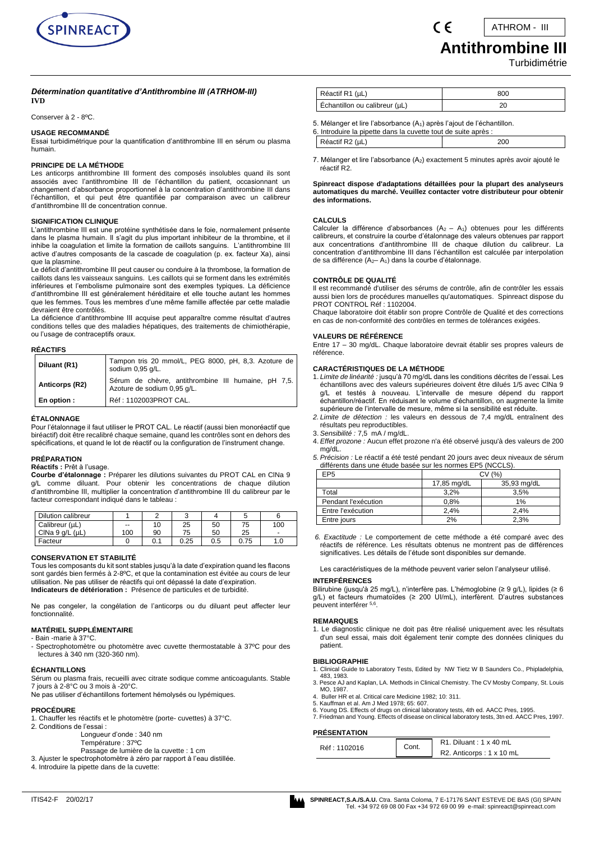

# **Antithrombine III**

**Turbidimétrie** 

### *Détermination quantitative d'Antithrombine III (ATRHOM-III)* **IVD**

Conserver à 2 - 8ºC.

# **USAGE RECOMMANDÉ**

Essai turbidimétrique pour la quantification d'antithrombine III en sérum ou plasma humain.

### **PRINCIPE DE LA MÉTHODE**

Les anticorps antithrombine III forment des composés insolubles quand ils sont associés avec l'antithrombine III de l'échantillon du patient, occasionnant un changement d'absorbance proportionnel à la concentration d'antithrombine III dans l'échantillon, et qui peut être quantifiée par comparaison avec un calibreur d'antithrombine III de concentration connue.

#### **SIGNIFICATION CLINIQUE**

L'antithrombine III est une protéine synthétisée dans le foie, normalement présente dans le plasma humain. Il s'agit du plus important inhibiteur de la thrombine, et il inhibe la coagulation et limite la formation de caillots sanguins. L'antithrombine III active d'autres composants de la cascade de coagulation (p. ex. facteur Xa), ainsi que la plasmine.

Le déficit d'antithrombine III peut causer ou conduire à la thrombose, la formation de caillots dans les vaisseaux sanguins. Les caillots qui se forment dans les extrémités inférieures et l'embolisme pulmonaire sont des exemples typiques. La déficience d'antithrombine III est généralement héréditaire et elle touche autant les hommes que les femmes. Tous les membres d'une même famille affectée par cette maladie devraient être contrôlés.

La déficience d'antithrombine III acquise peut apparaître comme résultat d'autres conditions telles que des maladies hépatiques, des traitements de chimiothérapie, ou l'usage de contraceptifs oraux.

# **RÉACTIFS**

| Diluant (R1)    | Tampon tris 20 mmol/L, PEG 8000, pH, 8.3. Azoture de<br>sodium 0,95 g/L.           |
|-----------------|------------------------------------------------------------------------------------|
| Anticorps (R2)  | Sérum de chèvre, antithrombine III humaine, pH 7,5.<br>Azoture de sodium 0,95 g/L. |
| $ $ En option : | Réf : 1102003PROT CAL.                                                             |

#### **ÉTALONNAGE**

Pour l'étalonnage il faut utiliser le PROT CAL. Le réactif (aussi bien monoréactif que biréactif) doit être recalibré chaque semaine, quand les contrôles sont en dehors des spécifications, et quand le lot de réactif ou la configuration de l'instrument change.

#### **PRÉPARATION**

**Réactifs :** Prêt à l'usage.

**Courbe d'étalonnage :** Préparer les dilutions suivantes du PROT CAL en ClNa 9 g/L comme diluant. Pour obtenir les concentrations de chaque dilution d'antithrombine III, multiplier la concentration d'antithrombine III du calibreur par le facteur correspondant indiqué dans le tableau :

| Dilution calibreur |     |     |      |     |      |                          |
|--------------------|-----|-----|------|-----|------|--------------------------|
| Calibreur (µL)     | --  | 10  | 25   | 50  | 75   | 100                      |
| CINa 9 q/L (uL)    | 100 | 90  | 75   | 50  | 25   | $\overline{\phantom{a}}$ |
| Facteur            |     | 0.1 | 0.25 | 0.5 | 0.75 | 1.0                      |

#### **CONSERVATION ET STABILITÉ**

Tous les composants du kit sont stables jusqu'à la date d'expiration quand les flacons sont gardés bien fermés à 2-8ºC, et que la contamination est évitée au cours de leur utilisation. Ne pas utiliser de réactifs qui ont dépassé la date d'expiration. **Indicateurs de détérioration :** Présence de particules et de turbidité.

Ne pas congeler, la congélation de l'anticorps ou du diluant peut affecter leur fonctionnalité.

# **MATÉRIEL SUPPLÉMENTAIRE**

# - Bain -marie à 37°C.

- Spectrophotomètre ou photomètre avec cuvette thermostatable à 37ºC pour des lectures à 340 nm (320-360 nm).

# **ÉCHANTILLONS**

Sérum ou plasma frais, recueilli avec citrate sodique comme anticoagulants. Stable 7 jours à 2-8°C ou 3 mois à -20°C.

Ne pas utiliser d'échantillons fortement hémolysés ou lypémiques.

#### **PROCÉDURE**

- 1. Chauffer les réactifs et le photomètre (porte- cuvettes) à 37°C.
- 2. Conditions de l'essai :
	- Longueur d'onde : 340 nm
	- Température : 37ºC
	- Passage de lumière de la cuvette : 1 cm
- 3. Ajuster le spectrophotomètre à zéro par rapport à l'eau distillée. 4. Introduire la pipette dans de la cuvette:

| Réactif R1 (µL)                    | 800 |
|------------------------------------|-----|
| Échantillon ou calibreur $(\mu L)$ |     |
|                                    |     |

CE

5. Mélanger et lire l'absorbance (A<sub>1</sub>) après l'ajout de l'échantillon.

| 6. Introduire la pipette dans la cuvette tout de suite après : |     |  |
|----------------------------------------------------------------|-----|--|
| Réactif R2 (µL)                                                | 200 |  |

7. Mélanger et lire l'absorbance (A2) exactement 5 minutes après avoir ajouté le réactif R2.

#### **Spinreact dispose d'adaptations détaillées pour la plupart des analyseurs automatiques du marché. Veuillez contacter votre distributeur pour obtenir des informations.**

### **CALCULS**

Calculer la différence d'absorbances  $(A_2 - A_1)$  obtenues pour les différents calibreurs, et construire la courbe d'étalonnage des valeurs obtenues par rapport aux concentrations d'antithrombine III de chaque dilution du calibreur. La concentration d'antithrombine III dans l'échantillon est calculée par interpolation de sa différence (A<sub>2</sub>– A<sub>1</sub>) dans la courbe d'étalonnage.

### **CONTRÔLE DE QUALITÉ**

Il est recommandé d'utiliser des sérums de contrôle, afin de contrôler les essais aussi bien lors de procédures manuelles qu'automatiques. Spinreact dispose du PROT CONTROL Réf : 1102004.

Chaque laboratoire doit établir son propre Contrôle de Qualité et des corrections en cas de non-conformité des contrôles en termes de tolérances exigées.

# **VALEURS DE RÉFÉRENCE**

Entre 17 – 30 mg/dL. Chaque laboratoire devrait établir ses propres valeurs de référence.

#### **CARACTÉRISTIQUES DE LA MÉTHODE**

- 1. *Limite de linéarité :* jusqu'à 70 mg/dL dans les conditions décrites de l'essai. Les échantillons avec des valeurs supérieures doivent être dilués 1/5 avec ClNa 9 g/L et testés à nouveau. L'intervalle de mesure dépend du rapport échantillon/réactif. En réduisant le volume d'échantillon, on augmente la limite supérieure de l'intervalle de mesure, même si la sensibilité est réduite
- *2. Limite de détection :* les valeurs en dessous de 7,4 mg/dL entraînent des résultats peu reproductibles.
- 3. *Sensibilité :* 7,5 mA / mg/dL.
- 4. *Effet prozone :* Aucun effet prozone n'a été observé jusqu'à des valeurs de 200 mg/dL.
- *5. Précision :* Le réactif a été testé pendant 20 jours avec deux niveaux de sérum différents dans une étude basée sur les normes EP5 (NCCLS).

| EP5                 | (% )        |             |  |
|---------------------|-------------|-------------|--|
|                     | 17,85 mg/dL | 35,93 mg/dL |  |
| Total               | 3.2%        | 3,5%        |  |
| Pendant l'exécution | 0.8%        | 1%          |  |
| Entre l'exécution   | 2.4%        | 2.4%        |  |
| Entre jours         | 2%          | 2,3%        |  |

*6. Exactitude :* Le comportement de cette méthode a été comparé avec des réactifs de référence. Les résultats obtenus ne montrent pas de différences significatives. Les détails de l'étude sont disponibles sur demande.

Les caractéristiques de la méthode peuvent varier selon l'analyseur utilisé.

# **INTERFÉRENCES**

Bilirubine (jusqu'à 25 mg/L), n'interfère pas. L'hémoglobine (≥ 9 g/L), lipides (≥ 6 g/L) et facteurs rhumatoïdes (≥ 200 UI/mL), interfèrent. D'autres substances peuvent interférer 5,6 .

#### **REMARQUES**

1. Le diagnostic clinique ne doit pas être réalisé uniquement avec les résultats d'un seul essai, mais doit également tenir compte des données cliniques du patient.

# **BIBLIOGRAPHIE**

- 1. Clinical Guide to Laboratory Tests, Edited by NW Tietz W B Saunders Co., Phipladelphia, 483, 1983.
- 3. Pesce AJ and Kaplan, LA. Methods in Clinical Chemistry. The CV Mosby Company, St. Louis MO, 1987.
- 4. Buller HR et al. Critical care Medicine 1982; 10: 311.
- 
- 5. Kauffman et al. Am J Med 1978; 65: 607. 6. Young DS. Effects of drugs on clinical laboratory tests, 4th ed. AACC Pres, 1995.
- 7. Friedman and Young. Effects of disease on clinical laboratory tests, 3tn ed. AACC Pres, 1997.

# **PRÉSENTATION**

| יושו והווחשבו ו |        |                           |
|-----------------|--------|---------------------------|
| Réf : 1102016   | ∵ิont. | $R1.$ Diluant : 1 x 40 mL |
|                 |        | R2. Anticorps: 1 x 10 mL  |